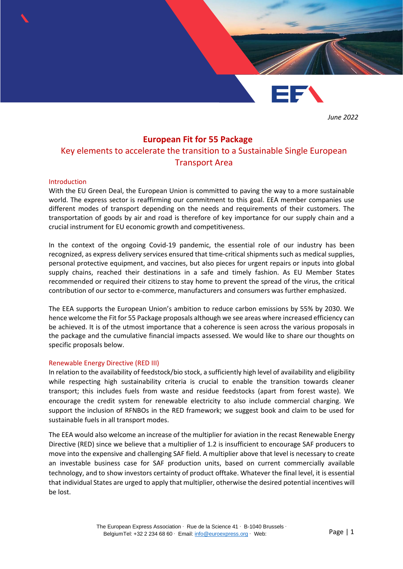*June 2022*

# **European Fit for 55 Package**

# Key elements to accelerate the transition to a Sustainable Single European Transport Area

#### Introduction

With the EU Green Deal, the European Union is committed to paving the way to a more sustainable world. The express sector is reaffirming our commitment to this goal. EEA member companies use different modes of transport depending on the needs and requirements of their customers. The transportation of goods by air and road is therefore of key importance for our supply chain and a crucial instrument for EU economic growth and competitiveness.

In the context of the ongoing Covid-19 pandemic, the essential role of our industry has been recognized, as express delivery services ensured that time-critical shipments such as medical supplies, personal protective equipment, and vaccines, but also pieces for urgent repairs or inputs into global supply chains, reached their destinations in a safe and timely fashion. As EU Member States recommended or required their citizens to stay home to prevent the spread of the virus, the critical contribution of our sector to e-commerce, manufacturers and consumers was further emphasized.

The EEA supports the European Union's ambition to reduce carbon emissions by 55% by 2030. We hence welcome the Fit for 55 Package proposals although we see areas where increased efficiency can be achieved. It is of the utmost importance that a coherence is seen across the various proposals in the package and the cumulative financial impacts assessed. We would like to share our thoughts on specific proposals below.

#### Renewable Energy Directive (RED III)

In relation to the availability of feedstock/bio stock, a sufficiently high level of availability and eligibility while respecting high sustainability criteria is crucial to enable the transition towards cleaner transport; this includes fuels from waste and residue feedstocks (apart from forest waste). We encourage the credit system for renewable electricity to also include commercial charging. We support the inclusion of RFNBOs in the RED framework; we suggest book and claim to be used for sustainable fuels in all transport modes.

The EEA would also welcome an increase of the multiplier for aviation in the recast Renewable Energy Directive (RED) since we believe that a multiplier of 1.2 is insufficient to encourage SAF producers to move into the expensive and challenging SAF field. A multiplier above that level is necessary to create an investable business case for SAF production units, based on current commercially available technology, and to show investors certainty of product offtake. Whatever the final level, it is essential that individual States are urged to apply that multiplier, otherwise the desired potential incentives will be lost.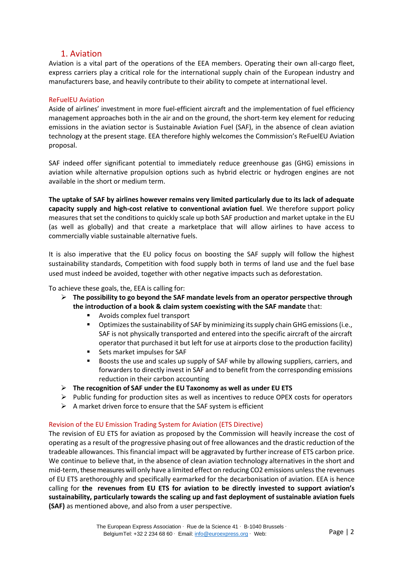# 1. Aviation

Aviation is a vital part of the operations of the EEA members. Operating their own all-cargo fleet, express carriers play a critical role for the international supply chain of the European industry and manufacturers base, and heavily contribute to their ability to compete at international level.

## ReFuelEU Aviation

Aside of airlines' investment in more fuel-efficient aircraft and the implementation of fuel efficiency management approaches both in the air and on the ground, the short-term key element for reducing emissions in the aviation sector is Sustainable Aviation Fuel (SAF), in the absence of clean aviation technology at the present stage. EEA therefore highly welcomes the Commission's ReFuelEU Aviation proposal.

SAF indeed offer significant potential to immediately reduce greenhouse gas (GHG) emissions in aviation while alternative propulsion options such as hybrid electric or hydrogen engines are not available in the short or medium term.

**The uptake of SAF by airlines however remains very limited particularly due to its lack of adequate capacity supply and high-cost relative to conventional aviation fuel**. We therefore support policy measures that set the conditions to quickly scale up both SAF production and market uptake in the EU (as well as globally) and that create a marketplace that will allow airlines to have access to commercially viable sustainable alternative fuels.

It is also imperative that the EU policy focus on boosting the SAF supply will follow the highest sustainability standards, Competition with food supply both in terms of land use and the fuel base used must indeed be avoided, together with other negative impacts such as deforestation.

To achieve these goals, the, EEA is calling for:

- ➢ **The possibility to go beyond the SAF mandate levels from an operator perspective through the introduction of a book & claim system coexisting with the SAF mandate** that:
	- Avoids complex fuel transport
	- **•** Optimizes the sustainability of SAF by minimizing its supply chain GHG emissions (i.e., SAF is not physically transported and entered into the specific aircraft of the aircraft operator that purchased it but left for use at airports close to the production facility)
	- Sets market impulses for SAF
	- Boosts the use and scales up supply of SAF while by allowing suppliers, carriers, and forwarders to directly invest in SAF and to benefit from the corresponding emissions reduction in their carbon accounting
- ➢ **The recognition of SAF under the EU Taxonomy as well as under EU ETS**
- $\triangleright$  Public funding for production sites as well as incentives to reduce OPEX costs for operators
- $\triangleright$  A market driven force to ensure that the SAF system is efficient

## Revision of the EU Emission Trading System for Aviation (ETS Directive)

The revision of EU ETS for aviation as proposed by the Commission will heavily increase the cost of operating as a result of the progressive phasing out of free allowances and the drastic reduction of the tradeable allowances. This financial impact will be aggravated by further increase of ETS carbon price. We continue to believe that, in the absence of clean aviation technology alternatives in the short and mid-term, these measures will only have a limited effect on reducing CO2 emissions unless the revenues of EU ETS arethoroughly and specifically earmarked for the decarbonisation of aviation. EEA is hence calling for **the revenues from EU ETS for aviation to be directly invested to support aviation's sustainability, particularly towards the scaling up and fast deployment of sustainable aviation fuels (SAF)** as mentioned above, and also from a user perspective.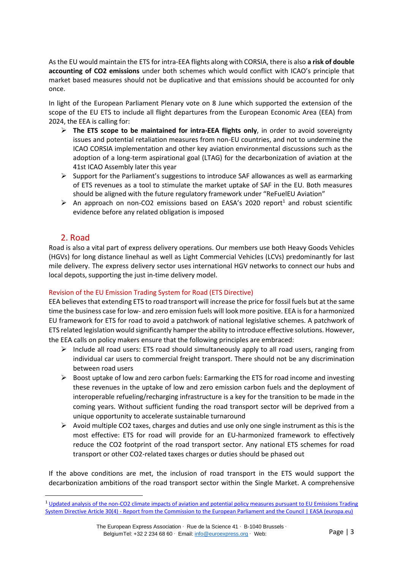As the EU would maintain the ETS for intra-EEA flights along with CORSIA, there is also **a risk of double accounting of CO2 emissions** under both schemes which would conflict with ICAO's principle that market based measures should not be duplicative and that emissions should be accounted for only once.

In light of the European Parliament Plenary vote on 8 June which supported the extension of the scope of the EU ETS to include all flight departures from the European Economic Area (EEA) from 2024, the EEA is calling for:

- ➢ **The ETS scope to be maintained for intra-EEA flights only**, in order to avoid sovereignty issues and potential retaliation measures from non-EU countries, and not to undermine the ICAO CORSIA implementation and other key aviation environmental discussions such as the adoption of a long-term aspirational goal (LTAG) for the decarbonization of aviation at the 41st ICAO Assembly later this year
- $\triangleright$  Support for the Parliament's suggestions to introduce SAF allowances as well as earmarking of ETS revenues as a tool to stimulate the market uptake of SAF in the EU. Both measures should be aligned with the future regulatory framework under "ReFuelEU Aviation"
- $\triangleright$  An approach on non-CO2 emissions based on EASA's 2020 report<sup>1</sup> and robust scientific evidence before any related obligation is imposed

# 2. Road

Road is also a vital part of express delivery operations. Our members use both Heavy Goods Vehicles (HGVs) for long distance linehaul as well as Light Commercial Vehicles (LCVs) predominantly for last mile delivery. The express delivery sector uses international HGV networks to connect our hubs and local depots, supporting the just in-time delivery model.

## Revision of the EU Emission Trading System for Road (ETS Directive)

EEA believesthat extending ETS to road transport will increase the price for fossil fuels but at the same time the business case for low- and zero emission fuels will look more positive. EEA is for a harmonized EU framework for ETS for road to avoid a patchwork of national legislative schemes. A patchwork of ETS related legislation would significantly hamper the ability to introduce effective solutions. However, the EEA calls on policy makers ensure that the following principles are embraced:

- $\triangleright$  Include all road users: ETS road should simultaneously apply to all road users, ranging from individual car users to commercial freight transport. There should not be any discrimination between road users
- $\triangleright$  Boost uptake of low and zero carbon fuels: Earmarking the ETS for road income and investing these revenues in the uptake of low and zero emission carbon fuels and the deployment of interoperable refueling/recharging infrastructure is a key for the transition to be made in the coming years. Without sufficient funding the road transport sector will be deprived from a unique opportunity to accelerate sustainable turnaround
- $\triangleright$  Avoid multiple CO2 taxes, charges and duties and use only one single instrument as this is the most effective: ETS for road will provide for an EU-harmonized framework to effectively reduce the CO2 footprint of the road transport sector. Any national ETS schemes for road transport or other CO2-related taxes charges or duties should be phased out

If the above conditions are met, the inclusion of road transport in the ETS would support the decarbonization ambitions of the road transport sector within the Single Market. A comprehensive

The European Express Association · Rue de la Science 41 · B-1040 Brussels · BelgiumTel: +32 2 234 68 60 · Email: [info@euroexpress.org](mailto:info@euroexpress.org) · Web:

<sup>&</sup>lt;sup>1</sup> Updated analysis of the non-CO2 climate impacts of aviation and potential policy measures pursuant to EU Emissions Trading System Directive Article 30(4) - [Report from the Commission to the European Parliament and the Council | EASA \(europa.eu\)](https://www.easa.europa.eu/document-library/research-reports/report-commission-european-parliament-and-council)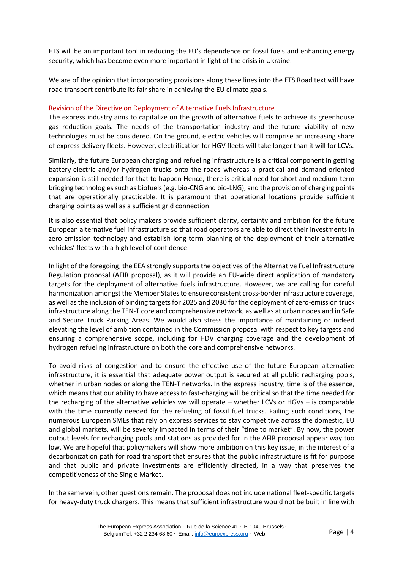ETS will be an important tool in reducing the EU's dependence on fossil fuels and enhancing energy security, which has become even more important in light of the crisis in Ukraine.

We are of the opinion that incorporating provisions along these lines into the ETS Road text will have road transport contribute its fair share in achieving the EU climate goals.

### Revision of the Directive on Deployment of [Alternative Fuels](https://www.europarl.europa.eu/legislative-train/theme-a-european-green-deal/file-revision-of-the-directive-on-deployment-of-alternative-fuels-infrastructure) Infrastructure

The express industry aims to capitalize on the growth of alternative fuels to achieve its greenhouse gas reduction goals. The needs of the transportation industry and the future viability of new technologies must be considered. On the ground, electric vehicles will comprise an increasing share of express delivery fleets. However, electrification for HGV fleets will take longer than it will for LCVs.

Similarly, the future European charging and refueling infrastructure is a critical component in getting battery-electric and/or hydrogen trucks onto the roads whereas a practical and demand-oriented expansion is still needed for that to happen Hence, there is critical need for short and medium-term bridging technologies such as biofuels (e.g. bio-CNG and bio-LNG), and the provision of charging points that are operationally practicable. It is paramount that operational locations provide sufficient charging points as well as a sufficient grid connection.

It is also essential that policy makers provide sufficient clarity, certainty and ambition for the future European alternative fuel infrastructure so that road operators are able to direct their investments in zero-emission technology and establish long-term planning of the deployment of their alternative vehicles' fleets with a high level of confidence.

In light of the foregoing, the EEA strongly supports the objectives of the Alternative Fuel Infrastructure Regulation proposal (AFIR proposal), as it will provide an EU-wide direct application of mandatory targets for the deployment of alternative fuels infrastructure. However, we are calling for careful harmonization amongst the Member States to ensure consistent cross-border infrastructure coverage, as well as the inclusion of binding targets for 2025 and 2030 for the deployment of zero-emission truck infrastructure along the TEN-T core and comprehensive network, as well as at urban nodes and in Safe and Secure Truck Parking Areas. We would also stress the importance of maintaining or indeed elevating the level of ambition contained in the Commission proposal with respect to key targets and ensuring a comprehensive scope, including for HDV charging coverage and the development of hydrogen refueling infrastructure on both the core and comprehensive networks.

To avoid risks of congestion and to ensure the effective use of the future European alternative infrastructure, it is essential that adequate power output is secured at all public recharging pools, whether in urban nodes or along the TEN-T networks. In the express industry, time is of the essence, which means that our ability to have access to fast-charging will be critical so that the time needed for the recharging of the alternative vehicles we will operate – whether LCVs or HGVs – is comparable with the time currently needed for the refueling of fossil fuel trucks. Failing such conditions, the numerous European SMEs that rely on express services to stay competitive across the domestic, EU and global markets, will be severely impacted in terms of their "time to market". By now, the power output levels for recharging pools and stations as provided for in the AFIR proposal appear way too low. We are hopeful that policymakers will show more ambition on this key issue, in the interest of a decarbonization path for road transport that ensures that the public infrastructure is fit for purpose and that public and private investments are efficiently directed, in a way that preserves the competitiveness of the Single Market.

In the same vein, other questions remain. The proposal does not include national fleet-specific targets for heavy-duty truck chargers. This means that sufficient infrastructure would not be built in line with